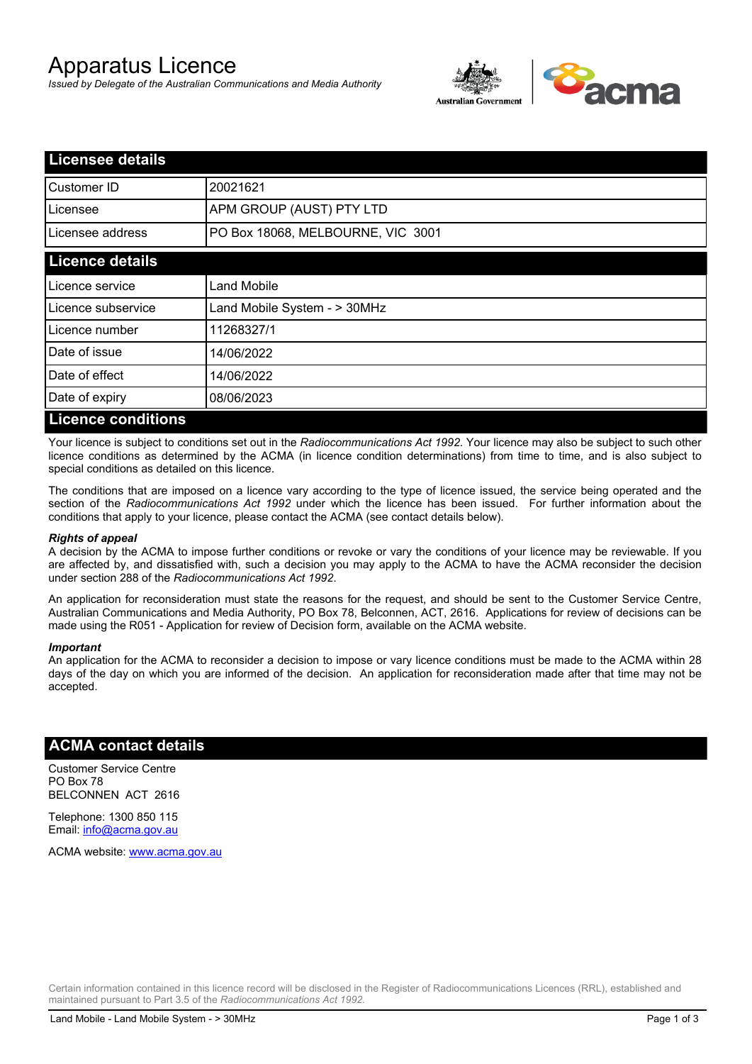# Apparatus Licence

*Issued by Delegate of the Australian Communications and Media Authority*



| <b>Licensee details</b>   |                                   |  |
|---------------------------|-----------------------------------|--|
| <b>I</b> Customer ID      | 20021621                          |  |
| l Licensee                | APM GROUP (AUST) PTY LTD          |  |
| Licensee address          | PO Box 18068, MELBOURNE, VIC 3001 |  |
| <b>Licence details</b>    |                                   |  |
| Licence service           | <b>Land Mobile</b>                |  |
| Licence subservice        | Land Mobile System - > 30MHz      |  |
| Licence number            | 11268327/1                        |  |
| Date of issue             | 14/06/2022                        |  |
| Date of effect            | 14/06/2022                        |  |
| Date of expiry            | 08/06/2023                        |  |
| <b>Licence conditions</b> |                                   |  |

Your licence is subject to conditions set out in the *Radiocommunications Act 1992*. Your licence may also be subject to such other licence conditions as determined by the ACMA (in licence condition determinations) from time to time, and is also subject to special conditions as detailed on this licence.

The conditions that are imposed on a licence vary according to the type of licence issued, the service being operated and the section of the *Radiocommunications Act 1992* under which the licence has been issued. For further information about the conditions that apply to your licence, please contact the ACMA (see contact details below).

#### *Rights of appeal*

A decision by the ACMA to impose further conditions or revoke or vary the conditions of your licence may be reviewable. If you are affected by, and dissatisfied with, such a decision you may apply to the ACMA to have the ACMA reconsider the decision under section 288 of the *Radiocommunications Act 1992*.

An application for reconsideration must state the reasons for the request, and should be sent to the Customer Service Centre, Australian Communications and Media Authority, PO Box 78, Belconnen, ACT, 2616. Applications for review of decisions can be made using the R051 - Application for review of Decision form, available on the ACMA website.

#### *Important*

An application for the ACMA to reconsider a decision to impose or vary licence conditions must be made to the ACMA within 28 days of the day on which you are informed of the decision. An application for reconsideration made after that time may not be accepted.

### **ACMA contact details**

Customer Service Centre PO Box 78 BELCONNEN ACT 2616

Telephone: 1300 850 115 Email: info@acma.gov.au

ACMA website: www.acma.gov.au

Certain information contained in this licence record will be disclosed in the Register of Radiocommunications Licences (RRL), established and maintained pursuant to Part 3.5 of the *Radiocommunications Act 1992.*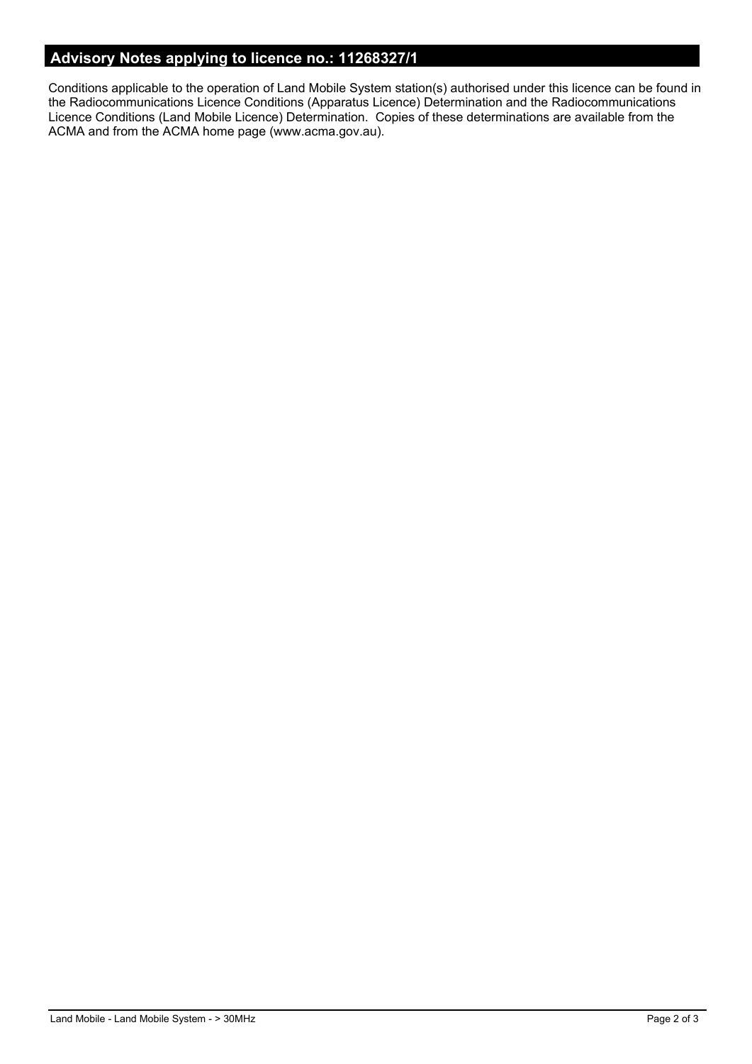## **Advisory Notes applying to licence no.: 11268327/1**

Conditions applicable to the operation of Land Mobile System station(s) authorised under this licence can be found in the Radiocommunications Licence Conditions (Apparatus Licence) Determination and the Radiocommunications Licence Conditions (Land Mobile Licence) Determination. Copies of these determinations are available from the ACMA and from the ACMA home page (www.acma.gov.au).